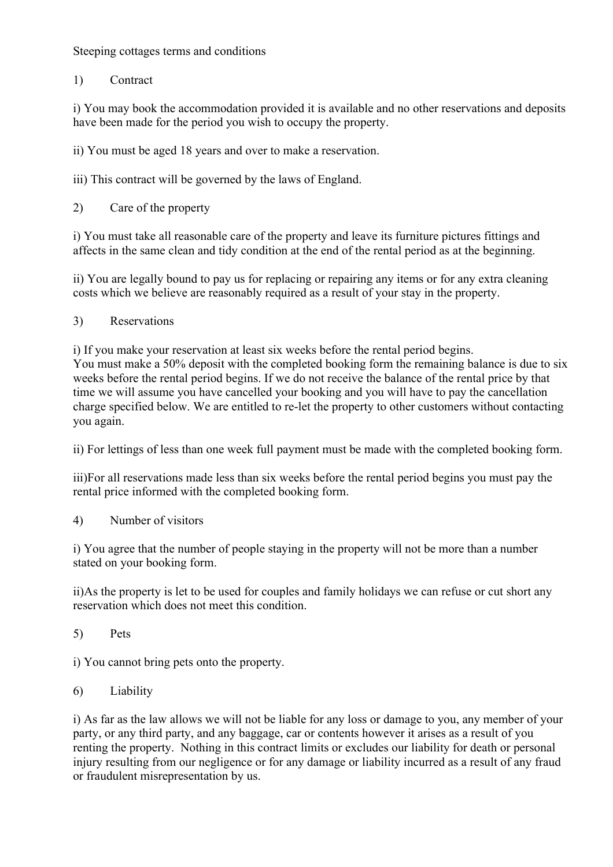Steeping cottages terms and conditions

1) Contract

i) You may book the accommodation provided it is available and no other reservations and deposits have been made for the period you wish to occupy the property.

ii) You must be aged 18 years and over to make a reservation.

iii) This contract will be governed by the laws of England.

2) Care of the property

i) You must take all reasonable care of the property and leave its furniture pictures fittings and affects in the same clean and tidy condition at the end of the rental period as at the beginning.

ii) You are legally bound to pay us for replacing or repairing any items or for any extra cleaning costs which we believe are reasonably required as a result of your stay in the property.

3) Reservations

you again.

i) If you make your reservation at least six weeks before the rental period begins. You must make a 50% deposit with the completed booking form the remaining balance is due to six weeks before the rental period begins. If we do not receive the balance of the rental price by that time we will assume you have cancelled your booking and you will have to pay the cancellation charge specified below. We are entitled to re-let the property to other customers without contacting

ii) For lettings of less than one week full payment must be made with the completed booking form.

iii)For all reservations made less than six weeks before the rental period begins you must pay the rental price informed with the completed booking form.

4) Number of visitors

i) You agree that the number of people staying in the property will not be more than a number stated on your booking form.

ii)As the property is let to be used for couples and family holidays we can refuse or cut short any reservation which does not meet this condition.

5) Pets

i) You cannot bring pets onto the property.

6) Liability

i) As far as the law allows we will not be liable for any loss or damage to you, any member of your party, or any third party, and any baggage, car or contents however it arises as a result of you renting the property. Nothing in this contract limits or excludes our liability for death or personal injury resulting from our negligence or for any damage or liability incurred as a result of any fraud or fraudulent misrepresentation by us.